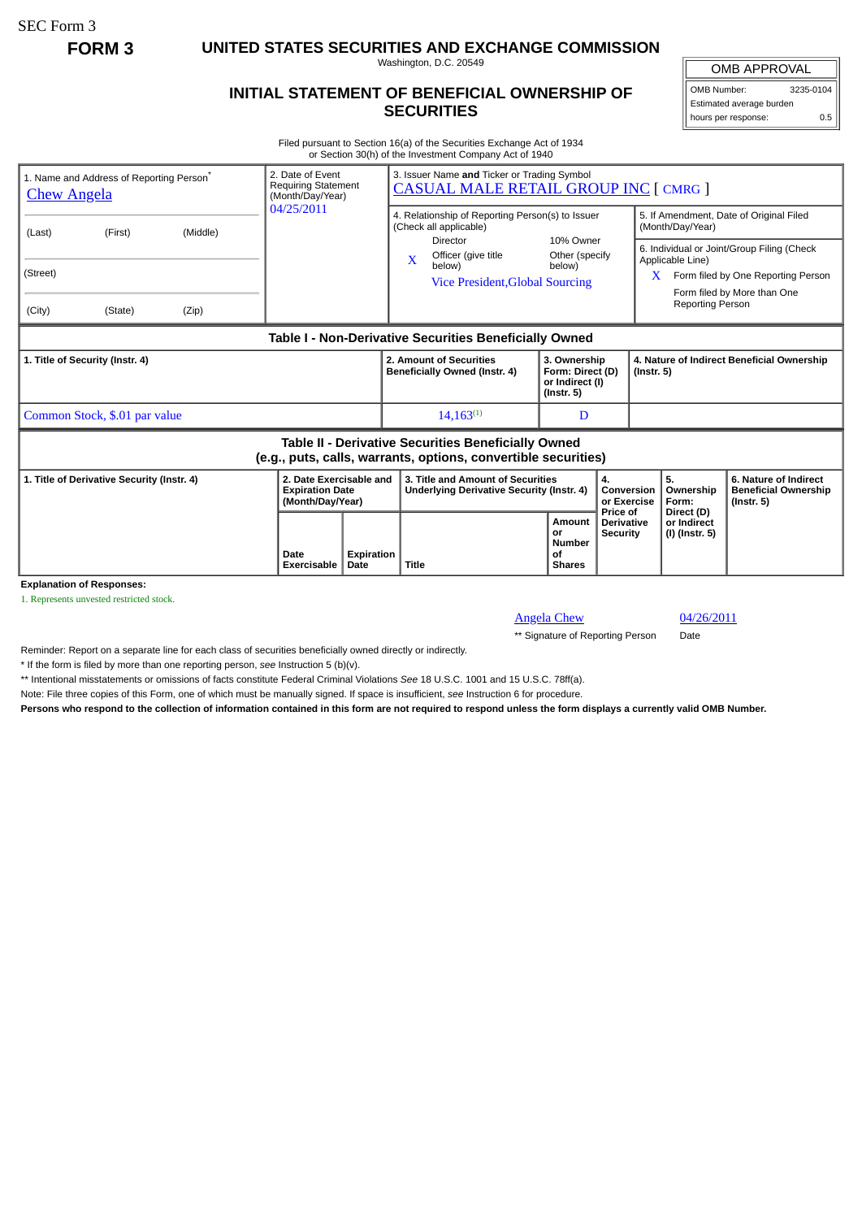SEC Form 3

**FORM 3 UNITED STATES SECURITIES AND EXCHANGE COMMISSION**

Washington, D.C. 20549

## **INITIAL STATEMENT OF BENEFICIAL OWNERSHIP OF SECURITIES**

OMB APPROVAL OMB Number: 3235-0104

Estimated average burden hours per response: 0.5

Filed pursuant to Section 16(a) of the Securities Exchange Act of 1934 or Section 30(h) of the Investment Company Act of 1940

| 1. Name and Address of Reporting Person <sup>®</sup><br><b>Chew Angela</b>                                            |          | 2. Date of Event<br><b>Requiring Statement</b><br>(Month/Day/Year)    |                           | 3. Issuer Name and Ticker or Trading Symbol<br><b>CASUAL MALE RETAIL GROUP INC [ CMRG ]</b>  |                                                                         |                                                  |                                                                                                                                                                      |                                                                          |  |
|-----------------------------------------------------------------------------------------------------------------------|----------|-----------------------------------------------------------------------|---------------------------|----------------------------------------------------------------------------------------------|-------------------------------------------------------------------------|--------------------------------------------------|----------------------------------------------------------------------------------------------------------------------------------------------------------------------|--------------------------------------------------------------------------|--|
| (First)<br>(Last)                                                                                                     | (Middle) | 04/25/2011                                                            |                           | 4. Relationship of Reporting Person(s) to Issuer<br>(Check all applicable)                   | 10% Owner                                                               |                                                  | 5. If Amendment, Date of Original Filed<br>(Month/Day/Year)                                                                                                          |                                                                          |  |
| (Street)<br>(City)<br>(State)                                                                                         | (Zip)    |                                                                       |                           | Director<br>Officer (give title<br>$\mathbf{x}$<br>below)<br>Vice President, Global Sourcing | Other (specify)<br>below)                                               |                                                  | 6. Individual or Joint/Group Filing (Check<br>Applicable Line)<br>Form filed by One Reporting Person<br>X.<br>Form filed by More than One<br><b>Reporting Person</b> |                                                                          |  |
|                                                                                                                       |          |                                                                       |                           |                                                                                              |                                                                         |                                                  |                                                                                                                                                                      |                                                                          |  |
| Table I - Non-Derivative Securities Beneficially Owned                                                                |          |                                                                       |                           |                                                                                              |                                                                         |                                                  |                                                                                                                                                                      |                                                                          |  |
| 1. Title of Security (Instr. 4)                                                                                       |          |                                                                       |                           | 2. Amount of Securities<br>Beneficially Owned (Instr. 4)                                     | 3. Ownership<br>Form: Direct (D)<br>or Indirect (I)<br>$($ lnstr. 5 $)$ |                                                  | 4. Nature of Indirect Beneficial Ownership<br>$($ Instr. 5 $)$                                                                                                       |                                                                          |  |
| Common Stock, \$.01 par value                                                                                         |          |                                                                       |                           | $14.163^{(1)}$                                                                               | D                                                                       |                                                  |                                                                                                                                                                      |                                                                          |  |
| Table II - Derivative Securities Beneficially Owned<br>(e.g., puts, calls, warrants, options, convertible securities) |          |                                                                       |                           |                                                                                              |                                                                         |                                                  |                                                                                                                                                                      |                                                                          |  |
| 1. Title of Derivative Security (Instr. 4)<br><b>Explanation of Responses:</b>                                        |          | 2. Date Exercisable and<br><b>Expiration Date</b><br>(Month/Day/Year) |                           | 3. Title and Amount of Securities<br>Underlying Derivative Security (Instr. 4)               | 4.<br>Conversion<br>or Exercise                                         |                                                  | 5.<br>Ownership<br>Form:                                                                                                                                             | 6. Nature of Indirect<br><b>Beneficial Ownership</b><br>$($ lnstr. 5 $)$ |  |
|                                                                                                                       |          | Date<br>Exercisable                                                   | <b>Expiration</b><br>Date | Title                                                                                        | Amount<br>or<br><b>Number</b><br>0f<br><b>Shares</b>                    | Price of<br><b>Derivative</b><br><b>Security</b> | Direct (D)<br>or Indirect<br>(I) (Instr. 5)                                                                                                                          |                                                                          |  |

1. Represents unvested restricted stock.

Angela Chew 04/26/2011

\*\* Signature of Reporting Person Date

Reminder: Report on a separate line for each class of securities beneficially owned directly or indirectly.

\* If the form is filed by more than one reporting person, *see* Instruction 5 (b)(v).

\*\* Intentional misstatements or omissions of facts constitute Federal Criminal Violations *See* 18 U.S.C. 1001 and 15 U.S.C. 78ff(a).

Note: File three copies of this Form, one of which must be manually signed. If space is insufficient, *see* Instruction 6 for procedure.

**Persons who respond to the collection of information contained in this form are not required to respond unless the form displays a currently valid OMB Number.**